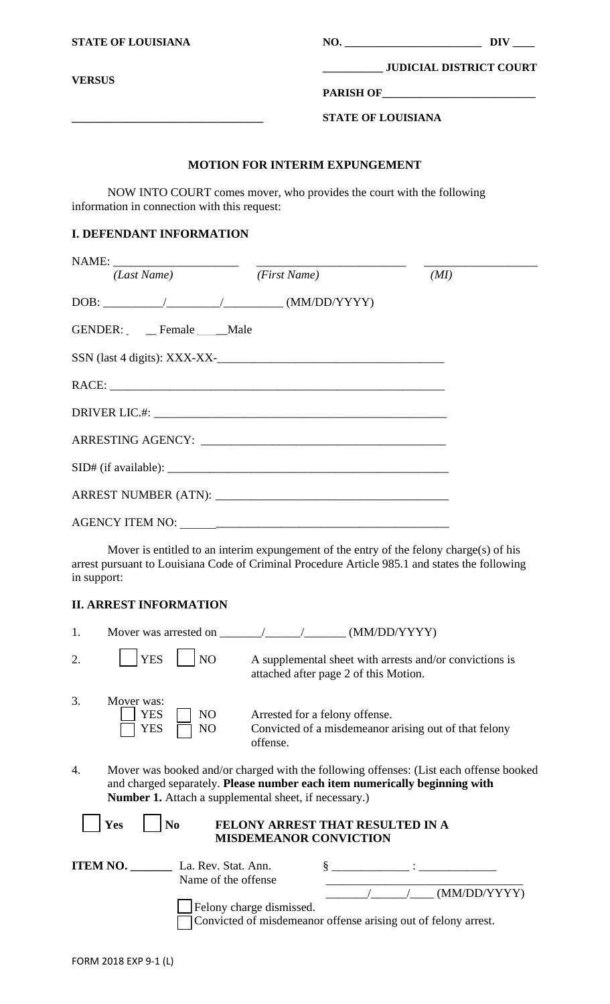| <b>STATE OF LOUISIANA</b>                                                                                                                                                                                                                                                                                                                                                                     |                                       |                                |  |
|-----------------------------------------------------------------------------------------------------------------------------------------------------------------------------------------------------------------------------------------------------------------------------------------------------------------------------------------------------------------------------------------------|---------------------------------------|--------------------------------|--|
| <b>VERSUS</b>                                                                                                                                                                                                                                                                                                                                                                                 |                                       | <b>JUDICIAL DISTRICT COURT</b> |  |
|                                                                                                                                                                                                                                                                                                                                                                                               |                                       |                                |  |
|                                                                                                                                                                                                                                                                                                                                                                                               | <b>STATE OF LOUISIANA</b>             |                                |  |
|                                                                                                                                                                                                                                                                                                                                                                                               | <b>MOTION FOR INTERIM EXPUNGEMENT</b> |                                |  |
| NOW INTO COURT comes mover, who provides the court with the following<br>information in connection with this request:                                                                                                                                                                                                                                                                         |                                       |                                |  |
| <b>I. DEFENDANT INFORMATION</b>                                                                                                                                                                                                                                                                                                                                                               |                                       |                                |  |
| (Last Name)                                                                                                                                                                                                                                                                                                                                                                                   | (First Name)                          |                                |  |
| $\text{DOB:}\begin{picture}(10,10) \put(0,0){\dashbox{0.5}(10,0){ }} \put(15,0){\circle{10}} \put(15,0){\circle{10}} \put(15,0){\circle{10}} \put(15,0){\circle{10}} \put(15,0){\circle{10}} \put(15,0){\circle{10}} \put(15,0){\circle{10}} \put(15,0){\circle{10}} \put(15,0){\circle{10}} \put(15,0){\circle{10}} \put(15,0){\circle{10}} \put(15,0){\circle{10}} \put(15,0){\circle{10}}$ |                                       | (MI)                           |  |
| GENDER: Female Male                                                                                                                                                                                                                                                                                                                                                                           |                                       |                                |  |
|                                                                                                                                                                                                                                                                                                                                                                                               |                                       |                                |  |
|                                                                                                                                                                                                                                                                                                                                                                                               |                                       |                                |  |
|                                                                                                                                                                                                                                                                                                                                                                                               |                                       |                                |  |
|                                                                                                                                                                                                                                                                                                                                                                                               |                                       |                                |  |
|                                                                                                                                                                                                                                                                                                                                                                                               |                                       |                                |  |
|                                                                                                                                                                                                                                                                                                                                                                                               |                                       |                                |  |
|                                                                                                                                                                                                                                                                                                                                                                                               |                                       |                                |  |
| Mover is entitled to an interim expungement of the entry of the felony charge(s) of his<br>arrest pursuant to Louisiana Code of Criminal Procedure Article 985.1 and states the following<br>in support:                                                                                                                                                                                      |                                       |                                |  |

| 1. | Mover was arrested on                                         | (MM/DD/YYYY)                                                                                                                                                         |
|----|---------------------------------------------------------------|----------------------------------------------------------------------------------------------------------------------------------------------------------------------|
| 2. | <b>YES</b><br>NO                                              | A supplemental sheet with arrests and/or convictions is<br>attached after page 2 of this Motion.                                                                     |
| 3. | Mover was:<br>YES<br>NO<br>YES<br>NO                          | Arrested for a felony offense.<br>Convicted of a misdemeanor arising out of that felony<br>offense.                                                                  |
| 4. | <b>Number 1.</b> Attach a supplemental sheet, if necessary.)  | Mover was booked and/or charged with the following offenses: (List each offense booked<br>and charged separately. Please number each item numerically beginning with |
|    | Yes<br>N <sub>0</sub>                                         | FELONY ARREST THAT RESULTED IN A<br><b>MISDEMEANOR CONVICTION</b>                                                                                                    |
|    | <b>ITEM NO.</b><br>La. Rev. Stat. Ann.<br>Name of the offense | $\S$ $\qquad \qquad \qquad \S$<br>(MM/DD/YYYY)<br>Felony charge dismissed.<br>Convicted of misdemeanor offense arising out of felony arrest.                         |